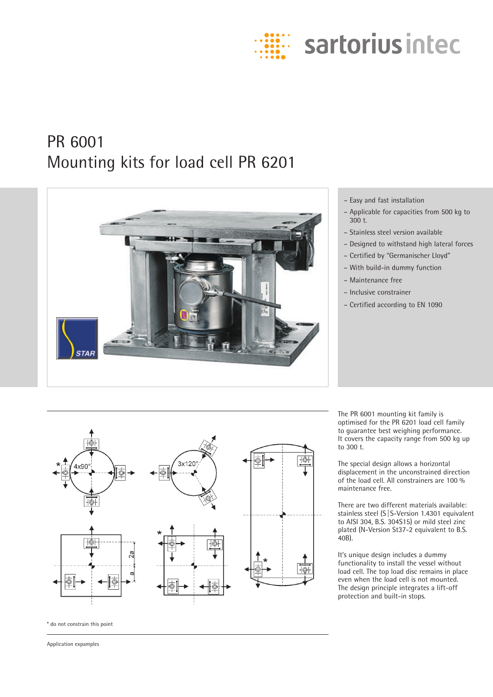

# PR 6001 Mounting kits for load cell PR 6201



# – Easy and fast installation

- Applicable for capacities from 500 kg to 300 t.
- Stainless steel version available
- Designed to withstand high lateral forces
- Certified by "Germanischer Lloyd"
- With build-in dummy function
- Maintenance free
- Inclusive constrainer
- Certified according to EN 1090



\* do not constrain this point

Application expamples

The PR 6001 mounting kit family is optimised for the PR 6201 load cell family to guarantee best weighing performance. It covers the capacity range from 500 kg up to 300 t.

The special design allows a horizontal displacement in the unconstrained direction of the load cell. All constrainers are 100 % maintenance free.

There are two different materials available: stainless steel (S|S-Version 1.4301 equivalent to AISI 304, B.S. 304S15) or mild steel zinc plated (N-Version St37-2 equivalent to B.S. 40B).

It's unique design includes a dummy functionality to install the vessel without load cell. The top load disc remains in place even when the load cell is not mounted. The design principle integrates a lift-off protection and built-in stops.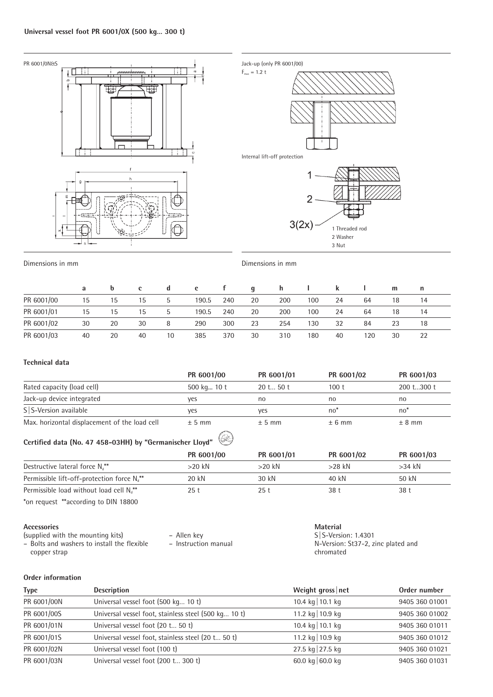

Dimensions in mm Dimensions in mm

|            | a  | $\mathbf b$ | c. | a            | e     |     | $\mathbf{a}$ | h.  |     |    |     | m  | n  |  |
|------------|----|-------------|----|--------------|-------|-----|--------------|-----|-----|----|-----|----|----|--|
| PR 6001/00 | 15 | 15          | 15 | $\mathbf b$  | 190.5 | 240 | 20           | 200 | 100 | 24 | 64  | 18 | 14 |  |
| PR 6001/01 | 15 | 15          | 15 | $\mathbf{b}$ | 190.5 | 240 | 20           | 200 | 100 | 24 | 64  | 18 | 14 |  |
| PR 6001/02 | 30 | 20          | 30 | 8            | 290   | 300 | 23           | 254 | 130 | 32 | 84  | 23 | 18 |  |
| PR 6001/03 | 40 | 20          | 40 | 10           | 385   | 370 | 30           | 310 | 180 | 40 | 120 | 30 | 22 |  |

## **Technical data**

|                                                          | PR 6001/00  | PR 6001/01 | PR 6001/02       | PR 6001/03 |
|----------------------------------------------------------|-------------|------------|------------------|------------|
| Rated capacity (load cell)                               | 500 kg 10 t | 20 t 50 t  | 100 <sub>t</sub> | 200 t300 t |
| Jack-up device integrated                                | yes         | no         | no               | no         |
| S S-Version available                                    | yes         | yes        | $no*$            | $no*$      |
| Max. horizontal displacement of the load cell            | $± 5$ mm    | ± 5 mm     | ± 6 mm           | $± 8$ mm   |
| Certified data (No. 47 458-03HH) by "Germanischer Lloyd" | PR 6001/00  | PR 6001/01 | PR 6001/02       | PR 6001/03 |
| Destructive lateral force $N_d^{**}$                     | $>20$ kN    | $>20$ kN   | $>28$ kN         | $>34$ kN   |
| Permissible lift-off-protection force $N_{d}^{**}$       | 20 kN       | 30 kN      | 40 kN            | 50 kN      |
| Permissible load without load cell N <sub>a</sub> **     | 25t         | 25t        | 38 t             | 38t        |
| *on request **according to DIN 18800                     |             |            |                  |            |

#### **Accessories**

(supplied with the mounting kits) – Bolts and washers to install the flexible – Allen key

– Instruction manual

**Material** S|S-Version: 1.4301 N-Version: St37-2, zinc plated and chromated

## **Order information**

copper strap

| <b>Type</b> | <b>Description</b>                                   | Weight gross net | Order number   |
|-------------|------------------------------------------------------|------------------|----------------|
| PR 6001/00N | Universal vessel foot (500 kg 10 t)                  | 10.4 kg 10.1 kg  | 9405 360 01001 |
| PR 6001/00S | Universal vessel foot, stainless steel (500 kg 10 t) | 11.2 kg 10.9 kg  | 9405 360 01002 |
| PR 6001/01N | Universal vessel foot (20 t 50 t)                    | 10.4 kg 10.1 kg  | 9405 360 01011 |
| PR 6001/01S | Universal vessel foot, stainless steel (20 t 50 t)   | 11.2 kg 10.9 kg  | 9405 360 01012 |
| PR 6001/02N | Universal vessel foot (100 t)                        | 27.5 kg 27.5 kg  | 9405 360 01021 |
| PR 6001/03N | Universal vessel foot (200 t 300 t)                  | 60.0 kg 60.0 kg  | 9405 360 01031 |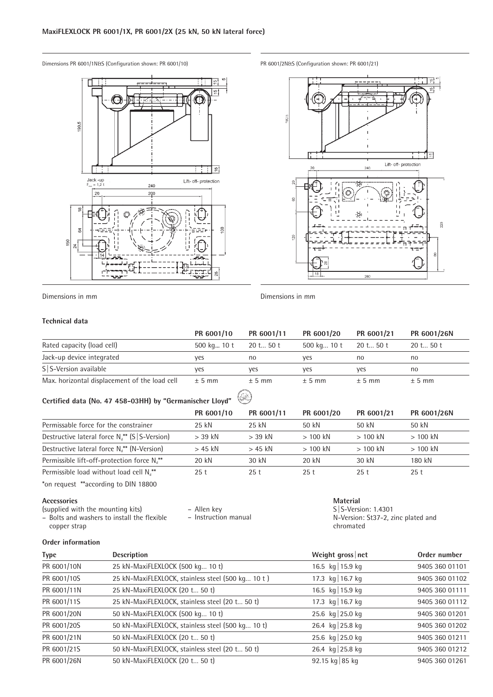Dimensions PR 6001/1N&S (Configuration shown: PR 6001/10) PR 6001/2N&S (Configuration shown: PR 6001/21)





Dimensions in mm Dimensions in mm

#### **Technical data**

|                                               | PR 6001/10  | PR 6001/11 | PR 6001/20  | PR 6001/21 | PR 6001/26N |
|-----------------------------------------------|-------------|------------|-------------|------------|-------------|
| Rated capacity (load cell)                    | 500 kg 10 t | 20 t 50 t  | 500 kg 10 t | 20 t 50 t  | 20 t 50 t   |
| Jack-up device integrated                     | ves         | no         | ves         | no         | no          |
| S S-Version available                         | ves         | ves        | ves         | ves        | no          |
| Max. horizontal displacement of the load cell | $± 5$ mm    | $± 5$ mm   | $± 5$ mm    | ± 5 mm     | $± 5$ mm    |

#### $\circledast$ **Certified data (No. 47 458-03HH) by "Germanischer Lloyd"**

|                                                        | PR 6001/10 | PR 6001/11 | PR 6001/20 | PR 6001/21 | PR 6001/26N |
|--------------------------------------------------------|------------|------------|------------|------------|-------------|
| Permissable force for the constrainer                  | 25 kN      | 25 kN      | 50 kN      | 50 kN      | 50 kN       |
| Destructive lateral force $N_{d}^{**}$ (S   S-Version) | $>$ 39 kN  | $>$ 39 kN  | $>100$ kN  | $>100$ kN  | $>100$ kN   |
| Destructive lateral force $N_{d}^{**}$ (N-Version)     | $> 45$ kN  | $> 45$ kN  | $>100$ kN  | $>100$ kN  | $>100$ kN   |
| Permissible lift-off-protection force $N_{d}^{**}$     | 20 kN      | 30 kN      | 20 kN      | 30 kN      | 180 kN      |
| Permissible load without load cell $N_{a}^{**}$        | 25 t       | 25 t       | 25t        | 25t        | 25 t        |

\*on request \*\*according to DIN 18800

**Accessories**

- (supplied with the mounting kits) – Bolts and washers to install the flexible
- Allen key
- Instruction manual

**Material** S|S-Version: 1.4301 N-Version: St37-2, zinc plated and chromated

# **Order information**

copper strap

| <b>Type</b> | <b>Description</b>                                | Weight gross net  | Order number   |
|-------------|---------------------------------------------------|-------------------|----------------|
| PR 6001/10N | 25 kN-MaxiFLEXLOCK (500 kg 10 t)                  | 16.5 kg   15.9 kg | 9405 360 01101 |
| PR 6001/10S | 25 kN-MaxiFLEXLOCK, stainless steel (500 kg 10 t) | 17.3 kg 16.7 kg   | 9405 360 01102 |
| PR 6001/11N | 25 kN-MaxiFLEXLOCK (20 t 50 t)                    | 16.5 kg 15.9 kg   | 9405 360 01111 |
| PR 6001/11S | 25 kN-MaxiFLEXLOCK, stainless steel (20 t 50 t)   | 17.3 kg 16.7 kg   | 9405 360 01112 |
| PR 6001/20N | 50 kN-MaxiFLEXLOCK (500 kg 10 t)                  | 25.6 kg 25.0 kg   | 9405 360 01201 |
| PR 6001/20S | 50 kN-MaxiFLEXLOCK, stainless steel (500 kg 10 t) | 26.4 kg 25.8 kg   | 9405 360 01202 |
| PR 6001/21N | 50 kN-MaxiFLEXLOCK (20 t 50 t)                    | 25.6 kg 25.0 kg   | 9405 360 01211 |
| PR 6001/21S | 50 kN-MaxiFLEXLOCK, stainless steel (20 t 50 t)   | 26.4 kg 25.8 kg   | 9405 360 01212 |
| PR 6001/26N | 50 kN-MaxiFLEXLOCK (20 t 50 t)                    | 92.15 kg 85 kg    | 9405 360 01261 |